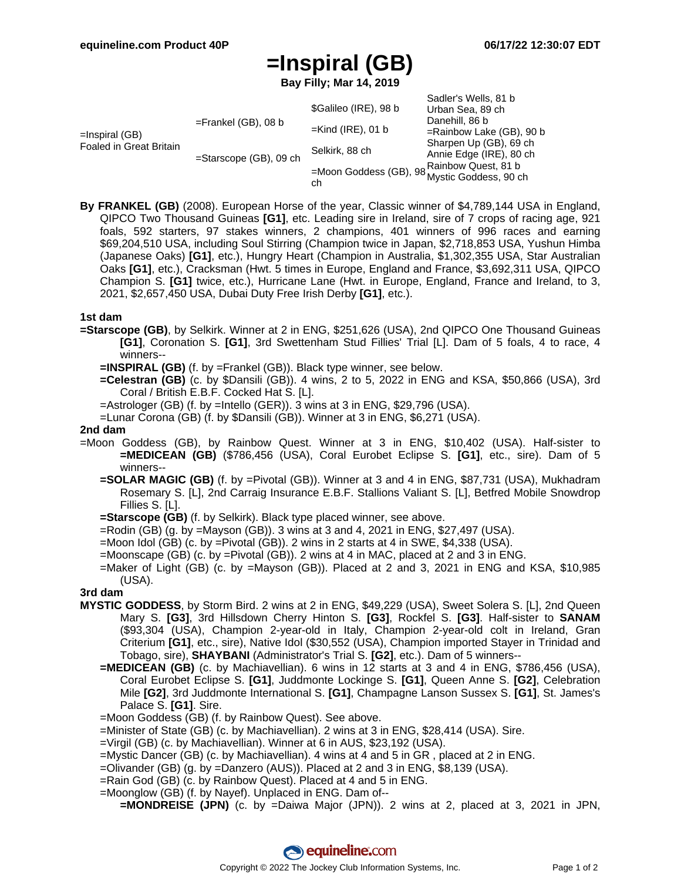# **=Inspiral (GB)**

**Bay Filly; Mar 14, 2019**

|                                              |                           | \$Galileo (IRE), 98 b | Sadler's Wells, 81 b<br>Urban Sea, 89 ch                                                                                                           |
|----------------------------------------------|---------------------------|-----------------------|----------------------------------------------------------------------------------------------------------------------------------------------------|
| $=$ Inspiral (GB)<br>Foaled in Great Britain | $=$ Frankel (GB), 08 b    | $=$ Kind (IRE), 01 b  | Danehill, 86 b<br>$=$ Rainbow Lake (GB), 90 b<br>Sharpen Up (GB), 69 ch<br>Annie Edge (IRE), 80 ch<br>=Moon Goddess (GB), $98$ Rainbow Quest, 81 b |
|                                              | $=$ Starscope (GB), 09 ch | Selkirk, 88 ch        |                                                                                                                                                    |
|                                              |                           | ch                    |                                                                                                                                                    |

**By FRANKEL (GB)** (2008). European Horse of the year, Classic winner of \$4,789,144 USA in England, QIPCO Two Thousand Guineas **[G1]**, etc. Leading sire in Ireland, sire of 7 crops of racing age, 921 foals, 592 starters, 97 stakes winners, 2 champions, 401 winners of 996 races and earning \$69,204,510 USA, including Soul Stirring (Champion twice in Japan, \$2,718,853 USA, Yushun Himba (Japanese Oaks) **[G1]**, etc.), Hungry Heart (Champion in Australia, \$1,302,355 USA, Star Australian Oaks **[G1]**, etc.), Cracksman (Hwt. 5 times in Europe, England and France, \$3,692,311 USA, QIPCO Champion S. **[G1]** twice, etc.), Hurricane Lane (Hwt. in Europe, England, France and Ireland, to 3, 2021, \$2,657,450 USA, Dubai Duty Free Irish Derby **[G1]**, etc.).

# **1st dam**

- **=Starscope (GB)**, by Selkirk. Winner at 2 in ENG, \$251,626 (USA), 2nd QIPCO One Thousand Guineas **[G1]**, Coronation S. **[G1]**, 3rd Swettenham Stud Fillies' Trial [L]. Dam of 5 foals, 4 to race, 4 winners--
	- **=INSPIRAL (GB)** (f. by =Frankel (GB)). Black type winner, see below.
	- **=Celestran (GB)** (c. by \$Dansili (GB)). 4 wins, 2 to 5, 2022 in ENG and KSA, \$50,866 (USA), 3rd Coral / British E.B.F. Cocked Hat S. [L].
	- =Astrologer (GB) (f. by =Intello (GER)). 3 wins at 3 in ENG, \$29,796 (USA).
	- =Lunar Corona (GB) (f. by \$Dansili (GB)). Winner at 3 in ENG, \$6,271 (USA).

# **2nd dam**

- =Moon Goddess (GB), by Rainbow Quest. Winner at 3 in ENG, \$10,402 (USA). Half-sister to **=MEDICEAN (GB)** (\$786,456 (USA), Coral Eurobet Eclipse S. **[G1]**, etc., sire). Dam of 5 winners--
	- **=SOLAR MAGIC (GB)** (f. by =Pivotal (GB)). Winner at 3 and 4 in ENG, \$87,731 (USA), Mukhadram Rosemary S. [L], 2nd Carraig Insurance E.B.F. Stallions Valiant S. [L], Betfred Mobile Snowdrop Fillies S. [L].
	- **=Starscope (GB)** (f. by Selkirk). Black type placed winner, see above.
	- =Rodin (GB) (g. by =Mayson (GB)). 3 wins at 3 and 4, 2021 in ENG, \$27,497 (USA).
	- $=$ Moon Idol (GB) (c. by  $=$ Pivotal (GB)). 2 wins in 2 starts at 4 in SWE, \$4,338 (USA).
	- =Moonscape (GB) (c. by =Pivotal (GB)). 2 wins at 4 in MAC, placed at 2 and 3 in ENG.
	- =Maker of Light (GB) (c. by =Mayson (GB)). Placed at 2 and 3, 2021 in ENG and KSA, \$10,985 (USA).

#### **3rd dam**

- **MYSTIC GODDESS**, by Storm Bird. 2 wins at 2 in ENG, \$49,229 (USA), Sweet Solera S. [L], 2nd Queen Mary S. **[G3]**, 3rd Hillsdown Cherry Hinton S. **[G3]**, Rockfel S. **[G3]**. Half-sister to **SANAM** (\$93,304 (USA), Champion 2-year-old in Italy, Champion 2-year-old colt in Ireland, Gran Criterium **[G1]**, etc., sire), Native Idol (\$30,552 (USA), Champion imported Stayer in Trinidad and Tobago, sire), **SHAYBANI** (Administrator's Trial S. **[G2]**, etc.). Dam of 5 winners--
	- **=MEDICEAN (GB)** (c. by Machiavellian). 6 wins in 12 starts at 3 and 4 in ENG, \$786,456 (USA), Coral Eurobet Eclipse S. **[G1]**, Juddmonte Lockinge S. **[G1]**, Queen Anne S. **[G2]**, Celebration Mile **[G2]**, 3rd Juddmonte International S. **[G1]**, Champagne Lanson Sussex S. **[G1]**, St. James's Palace S. **[G1]**. Sire.
	- =Moon Goddess (GB) (f. by Rainbow Quest). See above.
	- =Minister of State (GB) (c. by Machiavellian). 2 wins at 3 in ENG, \$28,414 (USA). Sire.
	- =Virgil (GB) (c. by Machiavellian). Winner at 6 in AUS, \$23,192 (USA).
	- =Mystic Dancer (GB) (c. by Machiavellian). 4 wins at 4 and 5 in GR , placed at 2 in ENG.
	- =Olivander (GB) (g. by =Danzero (AUS)). Placed at 2 and 3 in ENG, \$8,139 (USA).
	- =Rain God (GB) (c. by Rainbow Quest). Placed at 4 and 5 in ENG.
	- =Moonglow (GB) (f. by Nayef). Unplaced in ENG. Dam of--
		- **=MONDREISE (JPN)** (c. by =Daiwa Major (JPN)). 2 wins at 2, placed at 3, 2021 in JPN,